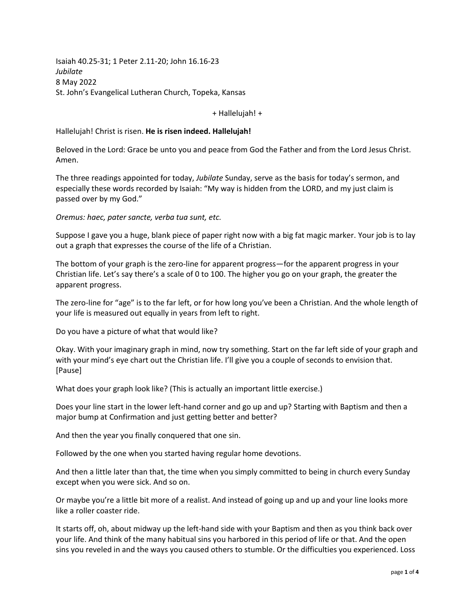Isaiah 40.25-31; 1 Peter 2.11-20; John 16.16-23 *Jubilate* 8 May 2022 St. John's Evangelical Lutheran Church, Topeka, Kansas

+ Hallelujah! +

Hallelujah! Christ is risen. **He is risen indeed. Hallelujah!**

Beloved in the Lord: Grace be unto you and peace from God the Father and from the Lord Jesus Christ. Amen.

The three readings appointed for today, *Jubilate* Sunday, serve as the basis for today's sermon, and especially these words recorded by Isaiah: "My way is hidden from the LORD, and my just claim is passed over by my God."

*Oremus: haec, pater sancte, verba tua sunt, etc.*

Suppose I gave you a huge, blank piece of paper right now with a big fat magic marker. Your job is to lay out a graph that expresses the course of the life of a Christian.

The bottom of your graph is the zero-line for apparent progress—for the apparent progress in your Christian life. Let's say there's a scale of 0 to 100. The higher you go on your graph, the greater the apparent progress.

The zero-line for "age" is to the far left, or for how long you've been a Christian. And the whole length of your life is measured out equally in years from left to right.

Do you have a picture of what that would like?

Okay. With your imaginary graph in mind, now try something. Start on the far left side of your graph and with your mind's eye chart out the Christian life. I'll give you a couple of seconds to envision that. [Pause]

What does your graph look like? (This is actually an important little exercise.)

Does your line start in the lower left-hand corner and go up and up? Starting with Baptism and then a major bump at Confirmation and just getting better and better?

And then the year you finally conquered that one sin.

Followed by the one when you started having regular home devotions.

And then a little later than that, the time when you simply committed to being in church every Sunday except when you were sick. And so on.

Or maybe you're a little bit more of a realist. And instead of going up and up and your line looks more like a roller coaster ride.

It starts off, oh, about midway up the left-hand side with your Baptism and then as you think back over your life. And think of the many habitual sins you harbored in this period of life or that. And the open sins you reveled in and the ways you caused others to stumble. Or the difficulties you experienced. Loss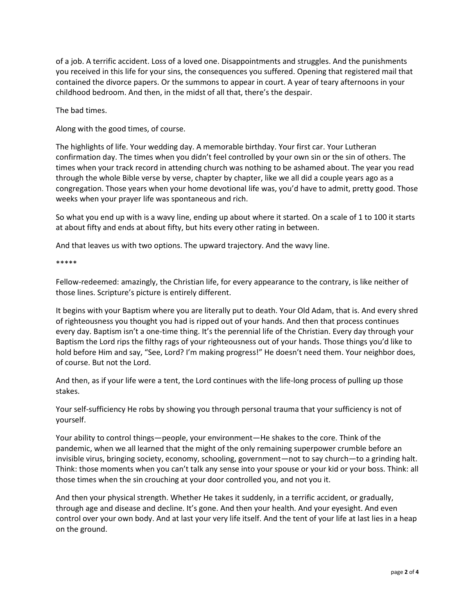of a job. A terrific accident. Loss of a loved one. Disappointments and struggles. And the punishments you received in this life for your sins, the consequences you suffered. Opening that registered mail that contained the divorce papers. Or the summons to appear in court. A year of teary afternoons in your childhood bedroom. And then, in the midst of all that, there's the despair.

The bad times.

Along with the good times, of course.

The highlights of life. Your wedding day. A memorable birthday. Your first car. Your Lutheran confirmation day. The times when you didn't feel controlled by your own sin or the sin of others. The times when your track record in attending church was nothing to be ashamed about. The year you read through the whole Bible verse by verse, chapter by chapter, like we all did a couple years ago as a congregation. Those years when your home devotional life was, you'd have to admit, pretty good. Those weeks when your prayer life was spontaneous and rich.

So what you end up with is a wavy line, ending up about where it started. On a scale of 1 to 100 it starts at about fifty and ends at about fifty, but hits every other rating in between.

And that leaves us with two options. The upward trajectory. And the wavy line.

\*\*\*\*\*

Fellow-redeemed: amazingly, the Christian life, for every appearance to the contrary, is like neither of those lines. Scripture's picture is entirely different.

It begins with your Baptism where you are literally put to death. Your Old Adam, that is. And every shred of righteousness you thought you had is ripped out of your hands. And then that process continues every day. Baptism isn't a one-time thing. It's the perennial life of the Christian. Every day through your Baptism the Lord rips the filthy rags of your righteousness out of your hands. Those things you'd like to hold before Him and say, "See, Lord? I'm making progress!" He doesn't need them. Your neighbor does, of course. But not the Lord.

And then, as if your life were a tent, the Lord continues with the life-long process of pulling up those stakes.

Your self-sufficiency He robs by showing you through personal trauma that your sufficiency is not of yourself.

Your ability to control things—people, your environment—He shakes to the core. Think of the pandemic, when we all learned that the might of the only remaining superpower crumble before an invisible virus, bringing society, economy, schooling, government—not to say church—to a grinding halt. Think: those moments when you can't talk any sense into your spouse or your kid or your boss. Think: all those times when the sin crouching at your door controlled you, and not you it.

And then your physical strength. Whether He takes it suddenly, in a terrific accident, or gradually, through age and disease and decline. It's gone. And then your health. And your eyesight. And even control over your own body. And at last your very life itself. And the tent of your life at last lies in a heap on the ground.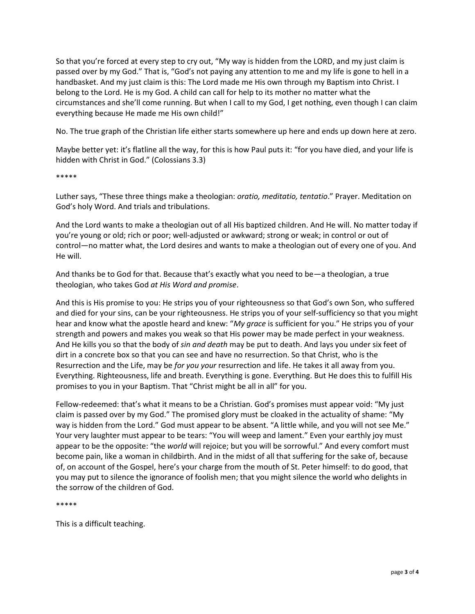So that you're forced at every step to cry out, "My way is hidden from the LORD, and my just claim is passed over by my God." That is, "God's not paying any attention to me and my life is gone to hell in a handbasket. And my just claim is this: The Lord made me His own through my Baptism into Christ. I belong to the Lord. He is my God. A child can call for help to its mother no matter what the circumstances and she'll come running. But when I call to my God, I get nothing, even though I can claim everything because He made me His own child!"

No. The true graph of the Christian life either starts somewhere up here and ends up down here at zero.

Maybe better yet: it's flatline all the way, for this is how Paul puts it: "for you have died, and your life is hidden with Christ in God." (Colossians 3.3)

## \*\*\*\*\*

Luther says, "These three things make a theologian: *oratio, meditatio, tentatio*." Prayer. Meditation on God's holy Word. And trials and tribulations.

And the Lord wants to make a theologian out of all His baptized children. And He will. No matter today if you're young or old; rich or poor; well-adjusted or awkward; strong or weak; in control or out of control—no matter what, the Lord desires and wants to make a theologian out of every one of you. And He will.

And thanks be to God for that. Because that's exactly what you need to be—a theologian, a true theologian, who takes God *at His Word and promise*.

And this is His promise to you: He strips you of your righteousness so that God's own Son, who suffered and died for your sins, can be your righteousness. He strips you of your self-sufficiency so that you might hear and know what the apostle heard and knew: "*My grace* is sufficient for you." He strips you of your strength and powers and makes you weak so that His power may be made perfect in your weakness. And He kills you so that the body of *sin and death* may be put to death. And lays you under six feet of dirt in a concrete box so that you can see and have no resurrection. So that Christ, who is the Resurrection and the Life, may be *for you your* resurrection and life. He takes it all away from you. Everything. Righteousness, life and breath. Everything is gone. Everything. But He does this to fulfill His promises to you in your Baptism. That "Christ might be all in all" for you.

Fellow-redeemed: that's what it means to be a Christian. God's promises must appear void: "My just claim is passed over by my God." The promised glory must be cloaked in the actuality of shame: "My way is hidden from the Lord." God must appear to be absent. "A little while, and you will not see Me." Your very laughter must appear to be tears: "You will weep and lament." Even your earthly joy must appear to be the opposite: "the *world* will rejoice; but you will be sorrowful." And every comfort must become pain, like a woman in childbirth. And in the midst of all that suffering for the sake of, because of, on account of the Gospel, here's your charge from the mouth of St. Peter himself: to do good, that you may put to silence the ignorance of foolish men; that you might silence the world who delights in the sorrow of the children of God.

## \*\*\*\*\*

This is a difficult teaching.